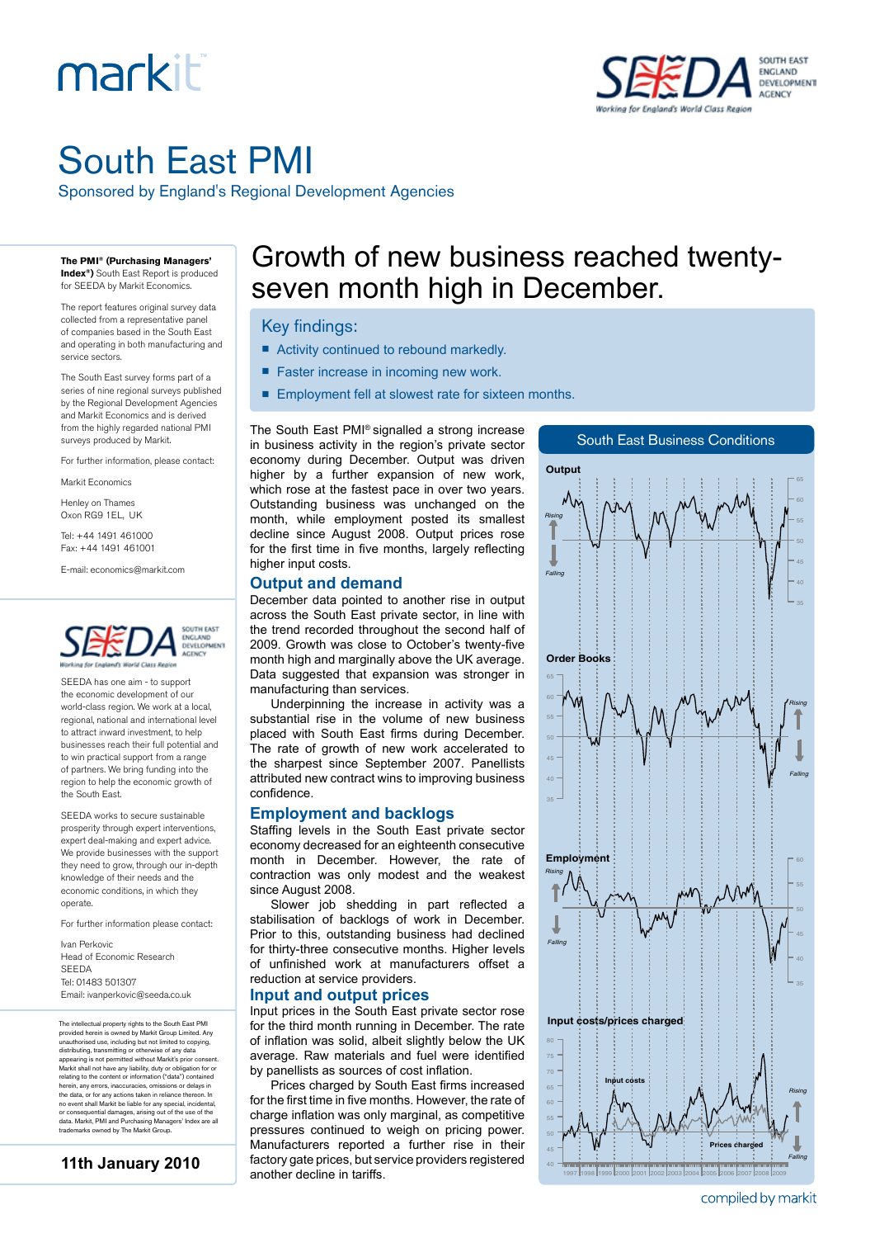# markiti



## South East PMI

Sponsored by England's Regional Development Agencies

**The PMI® (Purchasing Managers' Index®)** South East Report is produced

for SEEDA by Markit Economics.

The report features original survey data collected from a representative panel of companies based in the South East and operating in both manufacturing and service sectors.

The South East survey forms part of a series of nine regional surveys published by the Regional Development Agencies and Markit Economics and is derived from the highly regarded national PMI surveys produced by Markit.

For further information, please contact:

Markit Economics

Henley on Thames Oxon RG9 1EL, UK

Tel: +44 1491 461000

Fax: +44 1491 461001

E-mail: economics@markit.com



SEEDA has one aim - to support the economic development of our world-class region. We work at a local, regional, national and international level to attract inward investment, to help businesses reach their full potential and to win practical support from a range of partners. We bring funding into the region to help the economic growth of the South East.

SEEDA works to secure sustainable prosperity through expert interventions, expert deal-making and expert advice. We provide businesses with the support they need to grow, through our in-depth knowledge of their needs and the economic conditions, in which they operate.

For further information please contact:

Ivan Perkovic Head of Economic Research SEEDA Tel: 01483 501307 Email: ivanperkovic@seeda.co.uk

The intellectual property rights to the South East PMI provided herein is owned by Markit Group Limited. Any<br>unauthorised use, including but not limited to copying,<br>distributing, transmitting or otherwise of any data<br>appearing is not permitted without Markit's prior consent.<br>M herein, any errors, inaccuracies, omissions or delays in the data, or for any actions taken in reliance thereon. In no event shall Markit be liable for any special, incidental, or consequential damages, arising out of the use of the data. Markit, PMI and Purchasing Managers' Index are all trademarks owned by The Markit Group.<br>Markit Group.

**11th January 2010**

### Growth of new business reached twentyseven month high in December.

#### Key findings:

- Activity continued to rebound markedly.
- Faster increase in incoming new work.
- Employment fell at slowest rate for sixteen months.

The South East PMI® signalled a strong increase in business activity in the region's private sector economy during December. Output was driven higher by a further expansion of new work, which rose at the fastest pace in over two years. Outstanding business was unchanged on the month, while employment posted its smallest decline since August 2008. Output prices rose for the first time in five months, largely reflecting higher input costs.

#### **Output and demand**

December data pointed to another rise in output across the South East private sector, in line with the trend recorded throughout the second half of 2009. Growth was close to October's twenty-five month high and marginally above the UK average. Data suggested that expansion was stronger in manufacturing than services.

Underpinning the increase in activity was a substantial rise in the volume of new business placed with South East firms during December. The rate of growth of new work accelerated to the sharpest since September 2007. Panellists attributed new contract wins to improving business confidence.

#### **Employment and backlogs**

Staffing levels in the South East private sector economy decreased for an eighteenth consecutive month in December. However, the rate of contraction was only modest and the weakest since August 2008.

Slower job shedding in part reflected a stabilisation of backlogs of work in December. Prior to this, outstanding business had declined for thirty-three consecutive months. Higher levels of unfinished work at manufacturers offset a reduction at service providers.

#### **Input and output prices**

Input prices in the South East private sector rose for the third month running in December. The rate of inflation was solid, albeit slightly below the UK average. Raw materials and fuel were identified by panellists as sources of cost inflation.

Prices charged by South East firms increased for the first time in five months. However, the rate of charge inflation was only marginal, as competitive pressures continued to weigh on pricing power. Manufacturers reported a further rise in their factory gate prices, but service providers registered another decline in tariffs.



compiled by markit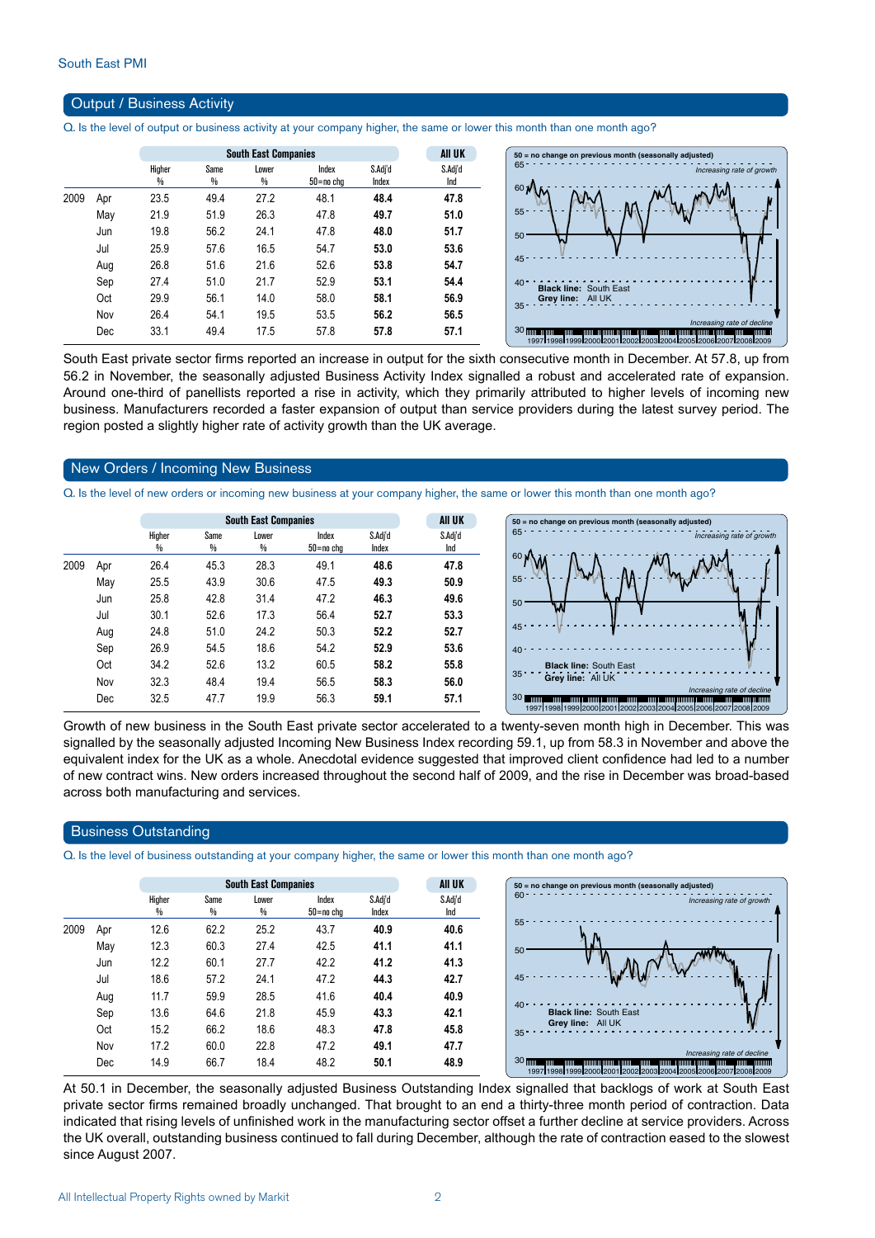#### Output / Business Activity

Q. Is the level of output or business activity at your company higher, the same or lower this month than one month ago?

|      |     |        | <b>South East Companies</b> |       | All UK    |         |         |
|------|-----|--------|-----------------------------|-------|-----------|---------|---------|
|      |     | Higher | Same                        | Lower | Index     | S.Adj'd | S.Adj'd |
|      |     | ₩      | %                           | %     | 50=no chq | Index   | Ind     |
| 2009 | Apr | 23.5   | 49.4                        | 27.2  | 48.1      | 48.4    | 47.8    |
|      | May | 21.9   | 51.9                        | 26.3  | 47.8      | 49.7    | 51.0    |
|      | Jun | 19.8   | 56.2                        | 24.1  | 47.8      | 48.0    | 51.7    |
|      | Jul | 25.9   | 57.6                        | 16.5  | 54.7      | 53.0    | 53.6    |
|      | Aug | 26.8   | 51.6                        | 21.6  | 52.6      | 53.8    | 54.7    |
|      | Sep | 27.4   | 51.0                        | 21.7  | 52.9      | 53.1    | 54.4    |
|      | Oct | 29.9   | 56.1                        | 14.0  | 58.0      | 58.1    | 56.9    |
|      | Nov | 26.4   | 54.1                        | 19.5  | 53.5      | 56.2    | 56.5    |
|      | Dec | 33.1   | 49.4                        | 17.5  | 57.8      | 57.8    | 57.1    |

South East private sector firms reported an increase in output for the sixth consecutive month in December. At 57.8, up from 56.2 in November, the seasonally adjusted Business Activity Index signalled a robust and accelerated rate of expansion. Around one-third of panellists reported a rise in activity, which they primarily attributed to higher levels of incoming new business. Manufacturers recorded a faster expansion of output than service providers during the latest survey period. The region posted a slightly higher rate of activity growth than the UK average.

#### New Orders / Incoming New Business

Q. Is the level of new orders or incoming new business at your company higher, the same or lower this month than one month ago?

|      |     |                         | <b>South East Companies</b> |            |                        |                  |                |  |  |  |
|------|-----|-------------------------|-----------------------------|------------|------------------------|------------------|----------------|--|--|--|
|      |     | Higher<br>$\frac{0}{0}$ | Same<br>%                   | Lower<br>% | Index<br>$50 = no$ cha | S.Adj'd<br>Index | S.Adj'd<br>Ind |  |  |  |
| 2009 | Apr | 26.4                    | 45.3                        | 28.3       | 49.1                   | 48.6             | 47.8           |  |  |  |
|      | May | 25.5                    | 43.9                        | 30.6       | 47.5                   | 49.3             | 50.9           |  |  |  |
|      | Jun | 25.8                    | 42.8                        | 31.4       | 47.2                   | 46.3             | 49.6           |  |  |  |
|      | Jul | 30.1                    | 52.6                        | 17.3       | 56.4                   | 52.7             | 53.3           |  |  |  |
|      | Aug | 24.8                    | 51.0                        | 24.2       | 50.3                   | 52.2             | 52.7           |  |  |  |
|      | Sep | 26.9                    | 54.5                        | 18.6       | 54.2                   | 52.9             | 53.6           |  |  |  |
|      | Oct | 34.2                    | 52.6                        | 13.2       | 60.5                   | 58.2             | 55.8           |  |  |  |
|      | Nov | 32.3                    | 48.4                        | 19.4       | 56.5                   | 58.3             | 56.0           |  |  |  |
|      | Dec | 32.5                    | 47.7                        | 19.9       | 56.3                   | 59.1             | 57.1           |  |  |  |
|      |     |                         |                             |            |                        |                  |                |  |  |  |



Growth of new business in the South East private sector accelerated to a twenty-seven month high in December. This was signalled by the seasonally adjusted Incoming New Business Index recording 59.1, up from 58.3 in November and above the equivalent index for the UK as a whole. Anecdotal evidence suggested that improved client confidence had led to a number of new contract wins. New orders increased throughout the second half of 2009, and the rise in December was broad-based across both manufacturing and services.

#### Business Outstanding

Q. Is the level of business outstanding at your company higher, the same or lower this month than one month ago?

|      |     |             |           | <b>AII UK</b> |                    |                  |                |
|------|-----|-------------|-----------|---------------|--------------------|------------------|----------------|
|      |     | Higher<br>% | Same<br>₩ | Lower<br>%    | Index<br>50=no cha | S.Adi'd<br>Index | S.Adj'd<br>Ind |
| 2009 | Apr | 12.6        | 62.2      | 25.2          | 43.7               | 40.9             | 40.6           |
|      | May | 12.3        | 60.3      | 27.4          | 42.5               | 41.1             | 41.1           |
|      | Jun | 12.2        | 60.1      | 27.7          | 42.2               | 41.2             | 41.3           |
|      | Jul | 18.6        | 57.2      | 24.1          | 47.2               | 44.3             | 42.7           |
|      | Aug | 11.7        | 59.9      | 28.5          | 41.6               | 40.4             | 40.9           |
|      | Sep | 13.6        | 64.6      | 21.8          | 45.9               | 43.3             | 42.1           |
|      | Oct | 15.2        | 66.2      | 18.6          | 48.3               | 47.8             | 45.8           |
|      | Nov | 17.2        | 60.0      | 22.8          | 47.2               | 49.1             | 47.7           |
|      | Dec | 14.9        | 66.7      | 18.4          | 48.2               | 50.1             | 48.9           |

At 50.1 in December, the seasonally adjusted Business Outstanding Index signalled that backlogs of work at South East private sector firms remained broadly unchanged. That brought to an end a thirty-three month period of contraction. Data indicated that rising levels of unfinished work in the manufacturing sector offset a further decline at service providers. Across the UK overall, outstanding business continued to fall during December, although the rate of contraction eased to the slowest since August 2007.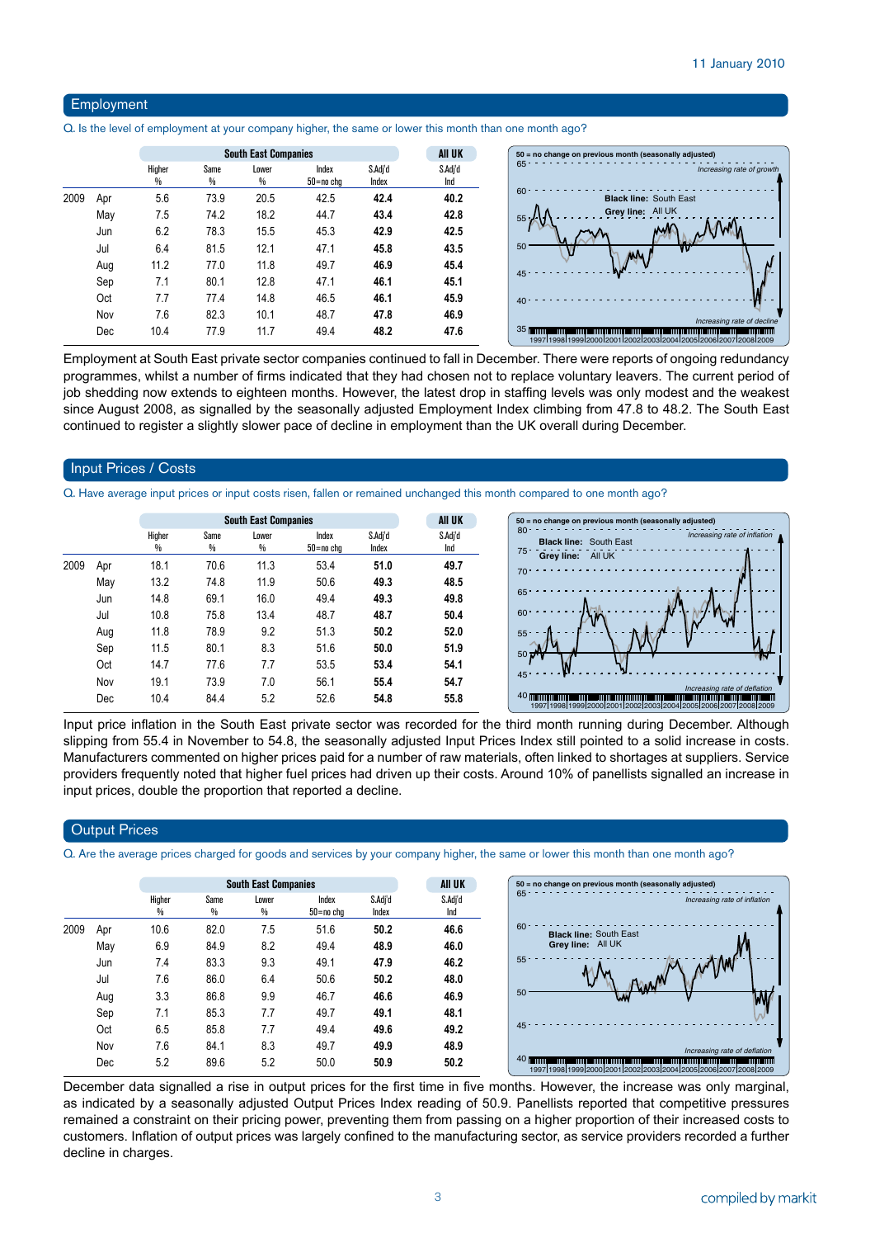#### Employment

Q. Is the level of employment at your company higher, the same or lower this month than one month ago?

|      |     |             | <b>South East Companies</b> |            |                    |                  |                |  |  |  |
|------|-----|-------------|-----------------------------|------------|--------------------|------------------|----------------|--|--|--|
|      |     | Higher<br>₩ | Same<br>%                   | Lower<br>% | Index<br>50=no chg | S.Adj'd<br>Index | S.Adj'd<br>Ind |  |  |  |
| 2009 | Apr | 5.6         | 73.9                        | 20.5       | 42.5               | 42.4             | 40.2           |  |  |  |
|      | May | 7.5         | 74.2                        | 18.2       | 44.7               | 43.4             | 42.8           |  |  |  |
|      | Jun | 6.2         | 78.3                        | 15.5       | 45.3               | 42.9             | 42.5           |  |  |  |
|      | Jul | 6.4         | 81.5                        | 12.1       | 47.1               | 45.8             | 43.5           |  |  |  |
|      | Aug | 11.2        | 77.0                        | 11.8       | 49.7               | 46.9             | 45.4           |  |  |  |
|      | Sep | 7.1         | 80.1                        | 12.8       | 47.1               | 46.1             | 45.1           |  |  |  |
|      | Oct | 7.7         | 77.4                        | 14.8       | 46.5               | 46.1             | 45.9           |  |  |  |
|      | Nov | 7.6         | 82.3                        | 10.1       | 48.7               | 47.8             | 46.9           |  |  |  |
|      | Dec | 10.4        | 77.9                        | 11.7       | 49.4               | 48.2             | 47.6           |  |  |  |

Employment at South East private sector companies continued to fall in December. There were reports of ongoing redundancy programmes, whilst a number of firms indicated that they had chosen not to replace voluntary leavers. The current period of job shedding now extends to eighteen months. However, the latest drop in staffing levels was only modest and the weakest since August 2008, as signalled by the seasonally adjusted Employment Index climbing from 47.8 to 48.2. The South East continued to register a slightly slower pace of decline in employment than the UK overall during December.

#### Input Prices / Costs

Q. Have average input prices or input costs risen, fallen or remained unchanged this month compared to one month ago?

|      |     |             | <b>South East Companies</b> |                        |                        |                  |                |  |
|------|-----|-------------|-----------------------------|------------------------|------------------------|------------------|----------------|--|
|      |     | Higher<br>% | Same<br>%                   | Lower<br>$\frac{0}{0}$ | Index<br>$50 = no$ chg | S.Adj'd<br>Index | S.Adj'd<br>Ind |  |
| 2009 | Apr | 18.1        | 70.6                        | 11.3                   | 53.4                   | 51.0             | 49.7           |  |
|      | May | 13.2        | 74.8                        | 11.9                   | 50.6                   | 49.3             | 48.5           |  |
|      | Jun | 14.8        | 69.1                        | 16.0                   | 49.4                   | 49.3             | 49.8           |  |
|      | Jul | 10.8        | 75.8                        | 13.4                   | 48.7                   | 48.7             | 50.4           |  |
|      | Aug | 11.8        | 78.9                        | 9.2                    | 51.3                   | 50.2             | 52.0           |  |
|      | Sep | 11.5        | 80.1                        | 8.3                    | 51.6                   | 50.0             | 51.9           |  |
|      | Oct | 14.7        | 77.6                        | 7.7                    | 53.5                   | 53.4             | 54.1           |  |
|      | Nov | 19.1        | 73.9                        | 7.0                    | 56.1                   | 55.4             | 54.7           |  |
|      | Dec | 10.4        | 84.4                        | 5.2                    | 52.6                   | 54.8             | 55.8           |  |
|      |     |             |                             |                        |                        |                  |                |  |



Input price inflation in the South East private sector was recorded for the third month running during December. Although slipping from 55.4 in November to 54.8, the seasonally adjusted Input Prices Index still pointed to a solid increase in costs. Manufacturers commented on higher prices paid for a number of raw materials, often linked to shortages at suppliers. Service providers frequently noted that higher fuel prices had driven up their costs. Around 10% of panellists signalled an increase in input prices, double the proportion that reported a decline.

#### **Output Prices**

Q. Are the average prices charged for goods and services by your company higher, the same or lower this month than one month ago?

|      |     | <b>South East Companies</b> |           |            |                        |                  | <b>AII UK</b>  |
|------|-----|-----------------------------|-----------|------------|------------------------|------------------|----------------|
|      |     | Higher<br>₩                 | Same<br>₩ | Lower<br>% | Index<br>$50 = no$ chg | S.Adj'd<br>Index | S.Adj'd<br>Ind |
| 2009 | Apr | 10.6                        | 82.0      | 7.5        | 51.6                   | 50.2             | 46.6           |
|      | May | 6.9                         | 84.9      | 8.2        | 49.4                   | 48.9             | 46.0           |
|      | Jun | 7.4                         | 83.3      | 9.3        | 49.1                   | 47.9             | 46.2           |
|      | Jul | 7.6                         | 86.0      | 6.4        | 50.6                   | 50.2             | 48.0           |
|      | Aug | 3.3                         | 86.8      | 9.9        | 46.7                   | 46.6             | 46.9           |
|      | Sep | 7.1                         | 85.3      | 7.7        | 49.7                   | 49.1             | 48.1           |
|      | Oct | 6.5                         | 85.8      | 7.7        | 49.4                   | 49.6             | 49.2           |
|      | Nov | 7.6                         | 84.1      | 8.3        | 49.7                   | 49.9             | 48.9           |
|      | Dec | 5.2                         | 89.6      | 5.2        | 50.0                   | 50.9             | 50.2           |

December data signalled a rise in output prices for the first time in five months. However, the increase was only marginal, as indicated by a seasonally adjusted Output Prices Index reading of 50.9. Panellists reported that competitive pressures remained a constraint on their pricing power, preventing them from passing on a higher proportion of their increased costs to customers. Inflation of output prices was largely confined to the manufacturing sector, as service providers recorded a further decline in charges.